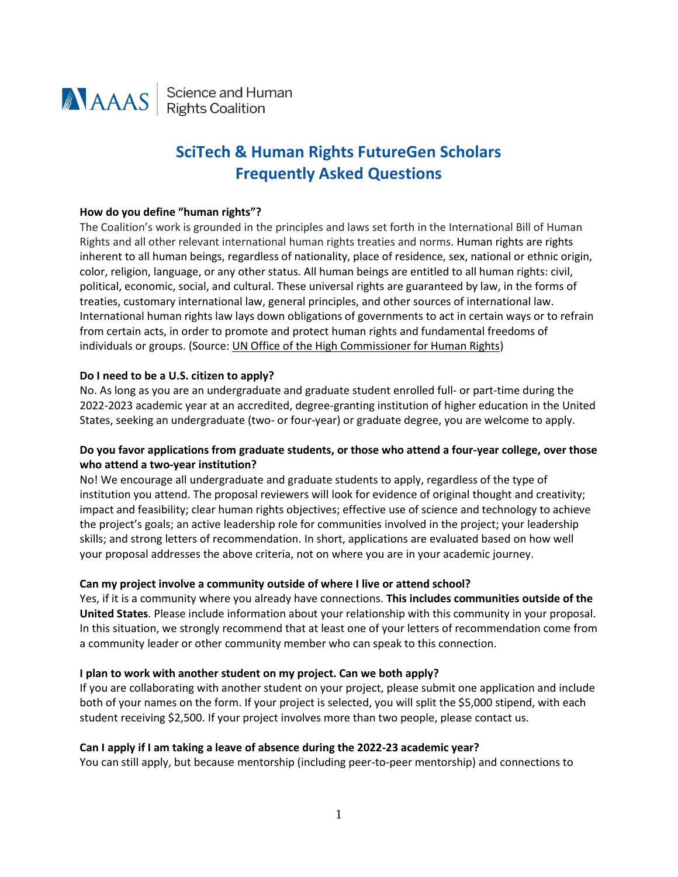

**ANAAS** Science and Human

# **SciTech & Human Rights FutureGen Scholars Frequently Asked Questions**

#### **How do you define "human rights"?**

The Coalition's work is grounded in the principles and laws set forth in the International Bill of Human Rights and all other relevant international human rights treaties and norms. Human rights are rights inherent to all human beings, regardless of nationality, place of residence, sex, national or ethnic origin, color, religion, language, or any other status. All human beings are entitled to all human rights: civil, political, economic, social, and cultural. These universal rights are guaranteed by law, in the forms of treaties, customary international law, general principles, and other sources of international law. International human rights law lays down obligations of governments to act in certain ways or to refrain from certain acts, in order to promote and protect human rights and fundamental freedoms of individuals or groups. (Source[: UN Office of the High Commissioner for Human Rights\)](https://ohchr.org/EN/Issues/Pages/WhatareHumanRights.aspx)

## **Do I need to be a U.S. citizen to apply?**

No. As long as you are an undergraduate and graduate student enrolled full- or part-time during the 2022-2023 academic year at an accredited, degree-granting institution of higher education in the United States, seeking an undergraduate (two- or four-year) or graduate degree, you are welcome to apply.

# **Do you favor applications from graduate students, or those who attend a four-year college, over those who attend a two-year institution?**

No! We encourage all undergraduate and graduate students to apply, regardless of the type of institution you attend. The proposal reviewers will look for evidence of original thought and creativity; impact and feasibility; clear human rights objectives; effective use of science and technology to achieve the project's goals; an active leadership role for communities involved in the project; your leadership skills; and strong letters of recommendation. In short, applications are evaluated based on how well your proposal addresses the above criteria, not on where you are in your academic journey.

#### **Can my project involve a community outside of where I live or attend school?**

Yes, if it is a community where you already have connections. **This includes communities outside of the United States**. Please include information about your relationship with this community in your proposal. In this situation, we strongly recommend that at least one of your letters of recommendation come from a community leader or other community member who can speak to this connection.

#### **I plan to work with another student on my project. Can we both apply?**

If you are collaborating with another student on your project, please submit one application and include both of your names on the form. If your project is selected, you will split the \$5,000 stipend, with each student receiving \$2,500. If your project involves more than two people, please contact us.

## **Can I apply if I am taking a leave of absence during the 2022-23 academic year?**

You can still apply, but because mentorship (including peer-to-peer mentorship) and connections to